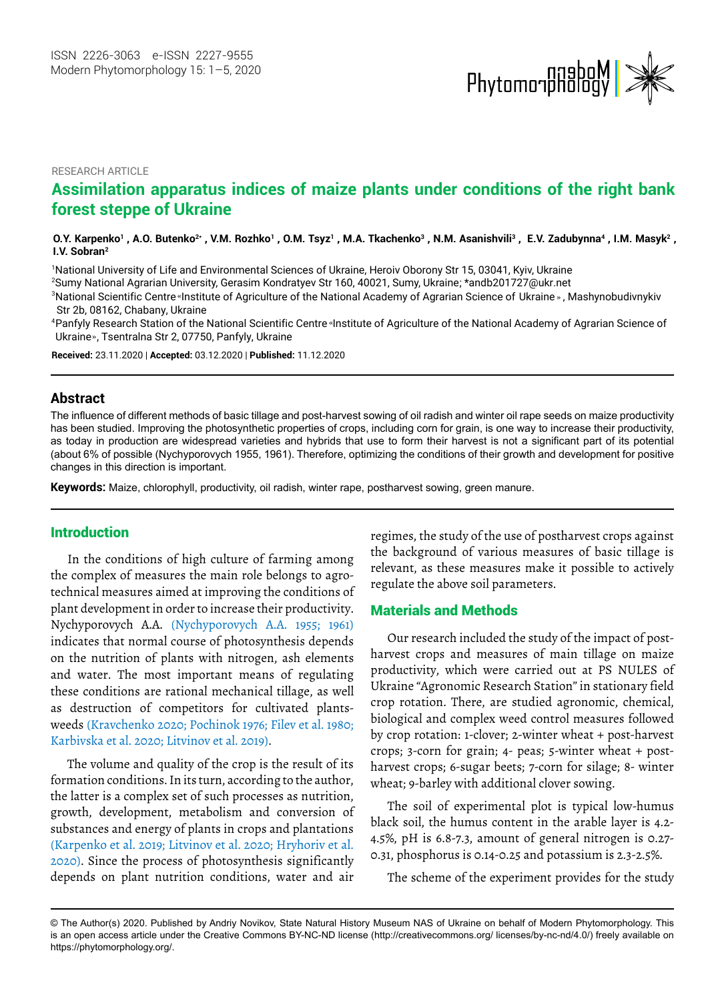

#### RESEARCH ARTICLE

# **Assimilation apparatus indices of maize plants under conditions of the right bank forest steppe of Ukraine**

#### O.Y. Karpenko<sup>1</sup>, A.O. Butenko<sup>2</sup>\*, V.M. Rozhko<sup>1</sup>, O.M. Tsyz<sup>1</sup>, M.A. Tkachenko<sup>3</sup>, N.M. Asanishvili<sup>3</sup>, E.V. Zadubynna<sup>4</sup>, I.M. Masyk<sup>2</sup>, **I.V. Sobran2**

1 National University of Life and Environmental Sciences of Ukraine, Heroiv Oborony Str 15, 03041, Kyiv, Ukraine 2 Sumy National Agrarian University, Gerasim Kondratyev Str 160, 40021, Sumy, Ukraine ; \*andb201727@ukr.net

 $^3$ National Scientific Centre«Institute of Agriculture of the National Academy of Agrarian Science of Ukraine», Mashynobudivnykiv Str 2b, 08162, Сhabany, Ukraine

National Scientific Centre Institute of Agriculture of the National Academy of Agrarian Science of <sup>4</sup> Panfyly Research Station of the National Scientific Centre «Institute of Agriculture of the National Academy of Agrarian Science of Ukraine», Tsentralna Str 2, 07750, Panfyly, Ukraine

**Received:** 23.11.2020 | **Accepted:** 03.12.2020 | **Published:** 11.12.2020

### **Abstract**

The influence of different methods of basic tillage and post-harvest sowing of oil radish and winter oil rape seeds on maize productivity has been studied. Improving the photosynthetic properties of crops, including corn for grain, is one way to increase their productivity, as today in production are widespread varieties and hybrids that use to form their harvest is not a significant part of its potential (about 6% of possible (Nychyporovych 1955, 1961). Therefore, optimizing the conditions of their growth and development for positive changes in this direction is important.

**Keywords:** Maize, chlorophyll, productivity, oil radish, winter rape, postharvest sowing, green manure.

#### Introduction

In the conditions of high culture of farming among the complex of measures the main role belongs to agrotechnical measures aimed at improving the conditions of plant development in order to increase their productivity. Nychyporovych A.A. (Nychyporovych A.A. 1955; 1961) indicates that normal course of photosynthesis depends on the nutrition of plants with nitrogen, ash elements and water. The most important means of regulating these conditions are rational mechanical tillage, as well as destruction of competitors for cultivated plantsweeds (Kravchenko 2020; Pochinok 1976; Filev et al. 1980; Karbivska et al. 2020; Litvinov et al. 2019).

The volume and quality of the crop is the result of its formation conditions. In its turn, according to the author, the latter is a complex set of such processes as nutrition, growth, development, metabolism and conversion of substances and energy of plants in crops and plantations (Karpenko et al. 2019; Litvinov et al. 2020; Hryhoriv et al. 2020). Since the process of photosynthesis significantly depends on plant nutrition conditions, water and air

regimes, the study of the use of postharvest crops against the background of various measures of basic tillage is relevant, as these measures make it possible to actively regulate the above soil parameters.

### Materials and Methods

Our research included the study of the impact of postharvest crops and measures of main tillage on maize productivity, which were carried out at PS NULES of Ukraine "Agronomic Research Station" in stationary field crop rotation. There, are studied agronomic, chemical, biological and complex weed control measures followed by crop rotation: 1-clover; 2-winter wheat + post-harvest crops; 3-corn for grain; 4- peas; 5-winter wheat + postharvest crops; 6-sugar beets; 7-corn for silage; 8- winter wheat; 9-barley with additional clover sowing.

The soil of experimental plot is typical low-humus black soil, the humus content in the arable layer is 4.2- 4.5%, pH is 6.8-7.3, amount of general nitrogen is 0.27- 0.31, phosphorus is 0.14-0.25 and potassium is 2.3-2.5%.

The scheme of the experiment provides for the study

<sup>©</sup> The Author(s) 2020. Published by Andriy Novikov, State Natural History Museum NAS of Ukraine on behalf of Modern Phytomorphology. This is an open access article under the Creative Commons BY-NC-ND license (http://creativecommons.org/ licenses/by-nc-nd/4.0/) freely available on https://phytomorphology.org/.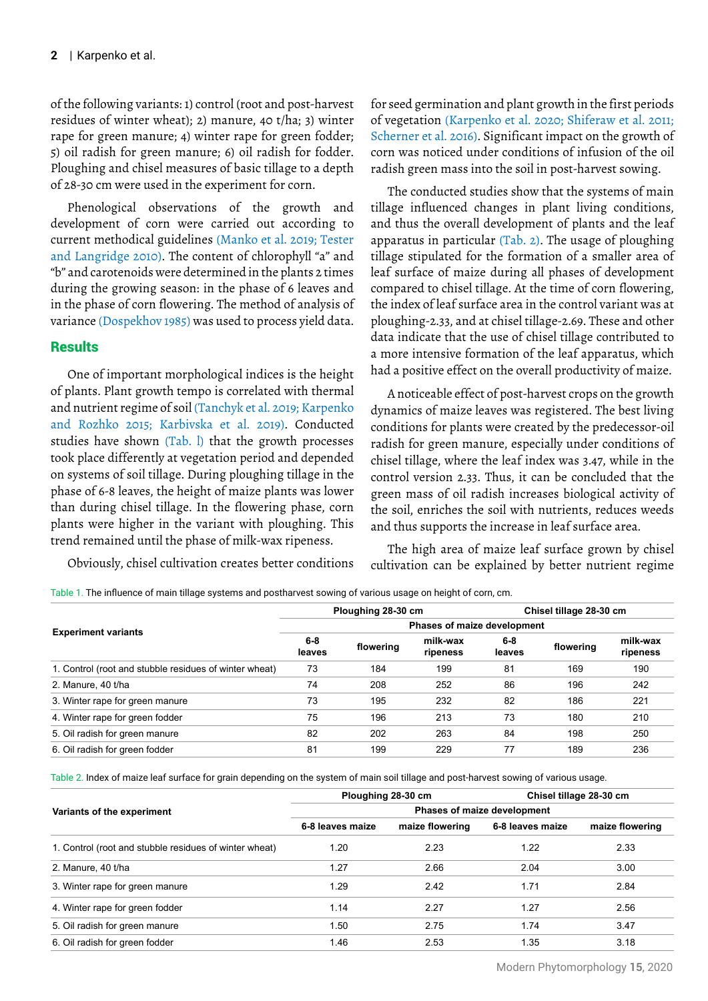of the following variants: 1) control (root and post-harvest residues of winter wheat); 2) manure, 40 t/ha; 3) winter rape for green manure; 4) winter rape for green fodder; 5) oil radish for green manure; 6) oil radish for fodder. Ploughing and chisel measures of basic tillage to a depth of 28-30 cm were used in the experiment for corn.

Phenological observations of the growth and development of corn were carried out according to current methodical guidelines (Manko et al. 2019; Tester and Langridge 2010). The content of chlorophyll "a" and "b" and carotenoids were determined in the plants 2 times during the growing season: in the phase of 6 leaves and in the phase of corn flowering. The method of analysis of variance (Dospekhov 1985) was used to process yield data.

## **Results**

One of important morphological indices is the height of plants. Plant growth tempo is correlated with thermal and nutrient regime of soil (Tanchyk et al. 2019; Karpenko and Rozhko 2015; Karbivska et al. 2019). Conducted studies have shown (Tab. l) that the growth processes took place differently at vegetation period and depended on systems of soil tillage. During ploughing tillage in the phase of 6-8 leaves, the height of maize plants was lower than during chisel tillage. In the flowering phase, corn plants were higher in the variant with ploughing. This trend remained until the phase of milk-wax ripeness.

Obviously, chisel cultivation creates better conditions

for seed germination and plant growth in the first periods of vegetation (Karpenko et al. 2020; Shiferaw et al. 2011; Scherner et al. 2016). Significant impact on the growth of corn was noticed under conditions of infusion of the oil radish green mass into the soil in post-harvest sowing.

The conducted studies show that the systems of main tillage influenced changes in plant living conditions, and thus the overall development of plants and the leaf apparatus in particular (Tab. 2). The usage of ploughing tillage stipulated for the formation of a smaller area of leaf surface of maize during all phases of development compared to chisel tillage. At the time of corn flowering, the index of leaf surface area in the control variant was at ploughing-2.33, and at chisel tillage-2.69. These and other data indicate that the use of chisel tillage contributed to a more intensive formation of the leaf apparatus, which had a positive effect on the overall productivity of maize.

A noticeable effect of post-harvest crops on the growth dynamics of maize leaves was registered. The best living conditions for plants were created by the predecessor-oil radish for green manure, especially under conditions of chisel tillage, where the leaf index was 3.47, while in the control version 2.33. Thus, it can be concluded that the green mass of oil radish increases biological activity of the soil, enriches the soil with nutrients, reduces weeds and thus supports the increase in leaf surface area.

The high area of maize leaf surface grown by chisel cultivation can be explained by better nutrient regime

Table 1. The influence of main tillage systems and postharvest sowing of various usage on height of corn, cm.

|                                                        |                             | Ploughing 28-30 cm |                      | Chisel tillage 28-30 cm |           |                      |  |  |  |  |  |
|--------------------------------------------------------|-----------------------------|--------------------|----------------------|-------------------------|-----------|----------------------|--|--|--|--|--|
| <b>Experiment variants</b>                             | Phases of maize development |                    |                      |                         |           |                      |  |  |  |  |  |
|                                                        | $6 - 8$<br>leaves           | flowering          | milk-wax<br>ripeness | 6-8<br>leaves           | flowering | milk-wax<br>ripeness |  |  |  |  |  |
| 1. Control (root and stubble residues of winter wheat) | 73                          | 184                | 199                  | 81                      | 169       | 190                  |  |  |  |  |  |
| 2. Manure, 40 t/ha                                     | 74                          | 208                | 252                  | 86                      | 196       | 242                  |  |  |  |  |  |
| 3. Winter rape for green manure                        | 73                          | 195                | 232                  | 82                      | 186       | 221                  |  |  |  |  |  |
| 4. Winter rape for green fodder                        | 75                          | 196                | 213                  | 73                      | 180       | 210                  |  |  |  |  |  |
| 5. Oil radish for green manure                         | 82                          | 202                | 263                  | 84                      | 198       | 250                  |  |  |  |  |  |
| 6. Oil radish for green fodder                         | 81                          | 199                | 229                  | 77                      | 189       | 236                  |  |  |  |  |  |
|                                                        |                             |                    |                      |                         |           |                      |  |  |  |  |  |

Table 2. Index of maize leaf surface for grain depending on the system of main soil tillage and post-harvest sowing of various usage.

|                                                        |                             | Ploughing 28-30 cm | Chisel tillage 28-30 cm |                 |  |  |  |  |  |
|--------------------------------------------------------|-----------------------------|--------------------|-------------------------|-----------------|--|--|--|--|--|
| Variants of the experiment                             | Phases of maize development |                    |                         |                 |  |  |  |  |  |
|                                                        | 6-8 leaves maize            | maize flowering    | 6-8 leaves maize        | maize flowering |  |  |  |  |  |
| 1. Control (root and stubble residues of winter wheat) | 1.20                        | 2.23               | 1.22                    | 2.33            |  |  |  |  |  |
| 2. Manure, 40 t/ha                                     | 1.27                        | 2.66               | 2.04                    | 3.00            |  |  |  |  |  |
| 3. Winter rape for green manure                        | 1.29                        | 2.42               | 1.71                    | 2.84            |  |  |  |  |  |
| 4. Winter rape for green fodder                        | 1.14                        | 2.27               | 1.27                    | 2.56            |  |  |  |  |  |
| 5. Oil radish for green manure                         | 1.50                        | 2.75               | 1.74                    | 3.47            |  |  |  |  |  |
| 6. Oil radish for green fodder                         | 1.46                        | 2.53               | 1.35                    | 3.18            |  |  |  |  |  |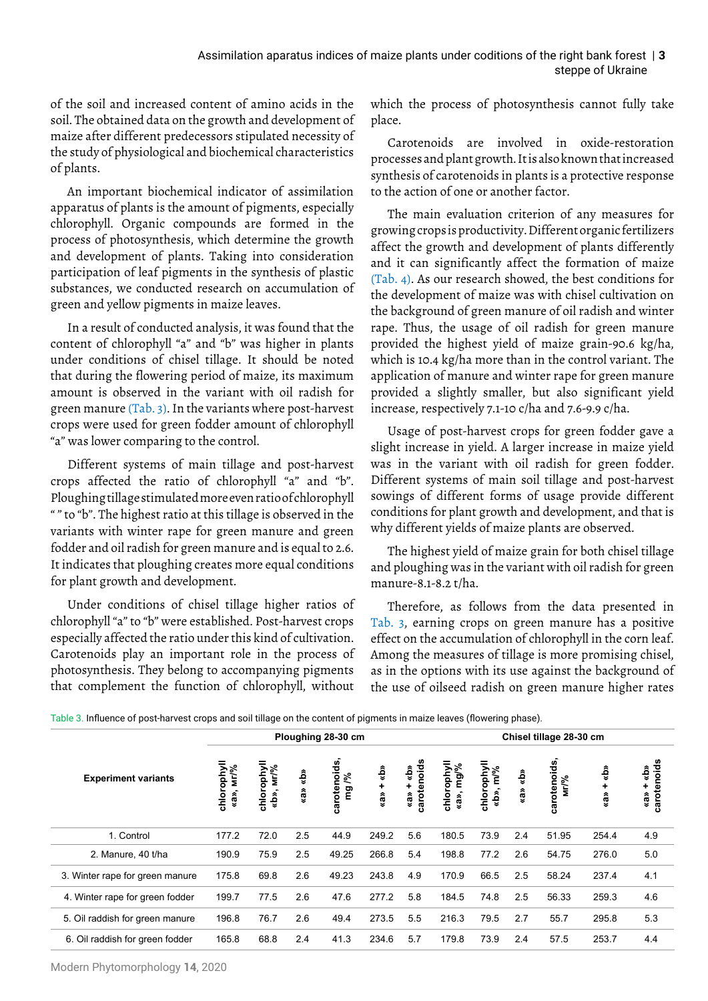of the soil and increased content of amino acids in the soil. The obtained data on the growth and development of maize after different predecessors stipulated necessity of the study of physiological and biochemical characteristics of plants.

An important biochemical indicator of assimilation apparatus of plants is the amount of pigments, especially chlorophyll. Organic compounds are formed in the process of photosynthesis, which determine the growth and development of plants. Taking into consideration participation of leaf pigments in the synthesis of plastic substances, we conducted research on accumulation of green and yellow pigments in maize leaves.

In a result of conducted analysis, it was found that the content of chlorophyll "a" and "b" was higher in plants under conditions of chisel tillage. It should be noted that during the flowering period of maize, its maximum amount is observed in the variant with oil radish for green manure (Tab. 3). In the variants where post-harvest crops were used for green fodder amount of chlorophyll "a" was lower comparing to the control.

Different systems of main tillage and post-harvest crops affected the ratio of chlorophyll "a" and "b". Ploughing tillage stimulated more even ratio of chlorophyll " " to "b". The highest ratio at this tillage is observed in the variants with winter rape for green manure and green fodder and oil radish for green manure and is equal to 2.6. It indicates that ploughing creates more equal conditions for plant growth and development.

Under conditions of chisel tillage higher ratios of chlorophyll "a" to "b" were established. Post-harvest crops especially affected the ratio under this kind of cultivation. Carotenoids play an important role in the process of photosynthesis. They belong to accompanying pigments that complement the function of chlorophyll, without

which the process of photosynthesis cannot fully take place.

Carotenoids are involved in oxide-restoration processes and plant growth. It is also known that increased synthesis of carotenoids in plants is a protective response to the action of one or another factor.

The main evaluation criterion of any measures for growing crops is productivity. Different organic fertilizers affect the growth and development of plants differently and it can significantly affect the formation of maize (Tab. 4). As our research showed, the best conditions for the development of maize was with chisel cultivation on the background of green manure of oil radish and winter rape. Thus, the usage of oil radish for green manure provided the highest yield of maize grain-90.6 kg/ha, which is 10.4 kg/ha more than in the control variant. The application of manure and winter rape for green manure provided a slightly smaller, but also significant yield increase, respectively 7.1-10 c/ha and 7.6-9.9 c/ha.

Usage of post-harvest crops for green fodder gave a slight increase in yield. A larger increase in maize yield was in the variant with oil radish for green fodder. Different systems of main soil tillage and post-harvest sowings of different forms of usage provide different conditions for plant growth and development, and that is why different yields of maize plants are observed.

The highest yield of maize grain for both chisel tillage and ploughing was in the variant with oil radish for green manure-8.1-8.2 t/ha.

Therefore, as follows from the data presented in Tab. 3, earning crops on green manure has a positive effect on the accumulation of chlorophyll in the corn leaf. Among the measures of tillage is more promising chisel, as in the options with its use against the background of the use of oilseed radish on green manure higher rates

|  | Table 3. Influence of post-harvest crops and soil tillage on the content of pigments in maize leaves (flowering phase). |  |
|--|-------------------------------------------------------------------------------------------------------------------------|--|

|                                 | Ploughing 28-30 cm         |                          |            |                        |                 | Chisel tillage 28-30 cm        |                         |                                         |            |                     |                     |                                |
|---------------------------------|----------------------------|--------------------------|------------|------------------------|-----------------|--------------------------------|-------------------------|-----------------------------------------|------------|---------------------|---------------------|--------------------------------|
| <b>Experiment variants</b>      | chlorophyll<br>Mr/%<br>«a» | chlorophyll<br>«b», мг/% | «b»<br>«a» | carotenoids<br>ৼ<br>ng | «b»<br>٠<br>«a» | carotenoids<br>«b»<br>÷<br>«a» | chlorophyl<br>«a», mg/% | chlorophyll<br>m <sup>o</sup> %<br>«b», | «b»<br>«a» | carotenoids<br>Mr/% | «ф<br>$\frac{4}{3}$ | carotenoids<br>«b»<br>٠<br>«a» |
| 1. Control                      | 177.2                      | 72.0                     | 2.5        | 44.9                   | 249.2           | 5.6                            | 180.5                   | 73.9                                    | 2.4        | 51.95               | 254.4               | 4.9                            |
| 2. Manure, 40 t/ha              | 190.9                      | 75.9                     | 2.5        | 49.25                  | 266.8           | 5.4                            | 198.8                   | 77.2                                    | 2.6        | 54.75               | 276.0               | 5.0                            |
| 3. Winter rape for green manure | 175.8                      | 69.8                     | 2.6        | 49.23                  | 243.8           | 4.9                            | 170.9                   | 66.5                                    | 2.5        | 58.24               | 237.4               | 4.1                            |
| 4. Winter rape for green fodder | 199.7                      | 77.5                     | 2.6        | 47.6                   | 277.2           | 5.8                            | 184.5                   | 74.8                                    | 2.5        | 56.33               | 259.3               | 4.6                            |
| 5. Oil raddish for green manure | 196.8                      | 76.7                     | 2.6        | 49.4                   | 273.5           | 5.5                            | 216.3                   | 79.5                                    | 2.7        | 55.7                | 295.8               | 5.3                            |
| 6. Oil raddish for green fodder | 165.8                      | 68.8                     | 2.4        | 41.3                   | 234.6           | 5.7                            | 179.8                   | 73.9                                    | 2.4        | 57.5                | 253.7               | 4.4                            |

Modern Phytomorphology **14**, 2020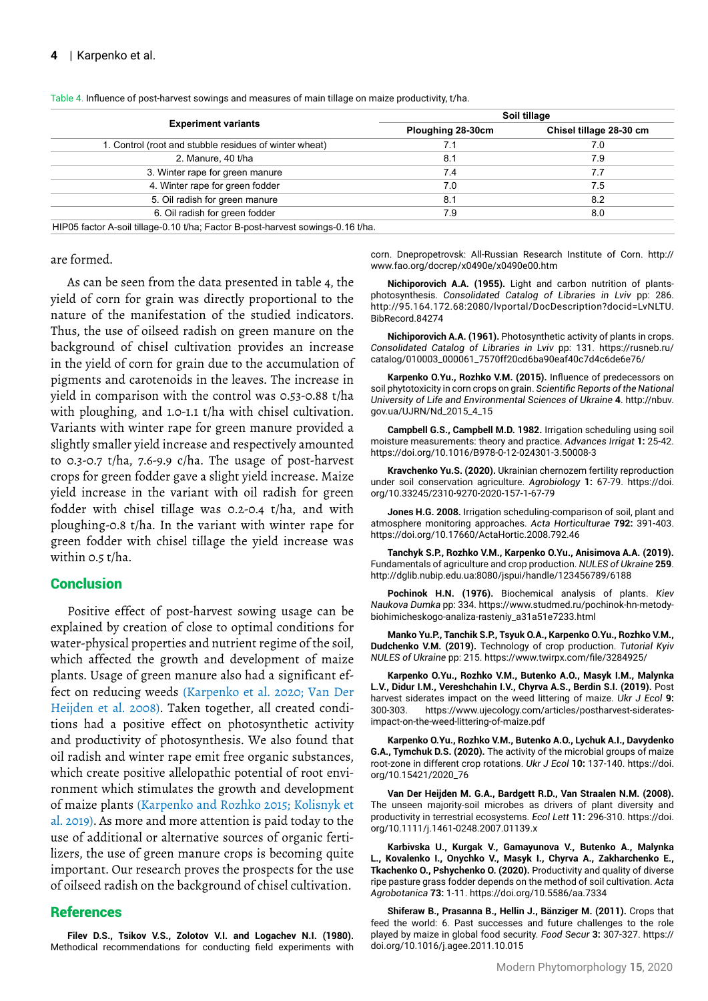|                                                                                 | Soil tillage      |                         |  |  |  |  |
|---------------------------------------------------------------------------------|-------------------|-------------------------|--|--|--|--|
| <b>Experiment variants</b>                                                      | Ploughing 28-30cm | Chisel tillage 28-30 cm |  |  |  |  |
| 1. Control (root and stubble residues of winter wheat)                          | 7.1               | 7.0                     |  |  |  |  |
| 2. Manure, 40 t/ha                                                              | 8.1               | 7.9                     |  |  |  |  |
| 3. Winter rape for green manure                                                 | 7.4               | 7.7                     |  |  |  |  |
| 4. Winter rape for green fodder                                                 | 7.0               | 7.5                     |  |  |  |  |
| 5. Oil radish for green manure                                                  | 8.1               | 8.2                     |  |  |  |  |
| 6. Oil radish for green fodder                                                  | 7.9               | 8.0                     |  |  |  |  |
| HIP05 factor A-soil tillage-0.10 t/ha; Factor B-post-harvest sowings-0.16 t/ha. |                   |                         |  |  |  |  |

Table 4. Influence of post-harvest sowings and measures of main tillage on maize productivity, t/ha.

are formed.

As can be seen from the data presented in table 4, the yield of corn for grain was directly proportional to the nature of the manifestation of the studied indicators. Thus, the use of oilseed radish on green manure on the background of chisel cultivation provides an increase in the yield of corn for grain due to the accumulation of pigments and carotenoids in the leaves. The increase in yield in comparison with the control was 0.53-0.88 t/ha with ploughing, and 1.0-1.1 t/ha with chisel cultivation. Variants with winter rape for green manure provided a slightly smaller yield increase and respectively amounted to 0.3-0.7 t/ha, 7.6-9.9 c/ha. The usage of post-harvest crops for green fodder gave a slight yield increase. Maize yield increase in the variant with oil radish for green fodder with chisel tillage was 0.2-0.4 t/ha, and with ploughing-0.8 t/ha. In the variant with winter rape for green fodder with chisel tillage the yield increase was within 0.5 t/ha.

## **Conclusion**

Positive effect of post-harvest sowing usage can be explained by creation of close to optimal conditions for water-physical properties and nutrient regime of the soil, which affected the growth and development of maize plants. Usage of green manure also had a significant effect on reducing weeds (Karpenko et al. 2020; Van Der Heijden et al. 2008). Taken together, all created conditions had a positive effect on photosynthetic activity and productivity of photosynthesis. We also found that oil radish and winter rape emit free organic substances, which create positive allelopathic potential of root environment which stimulates the growth and development of maize plants (Karpenko and Rozhko 2015; Kolisnyk et al. 2019). As more and more attention is paid today to the use of additional or alternative sources of organic fertilizers, the use of green manure crops is becoming quite important. Our research proves the prospects for the use of oilseed radish on the background of chisel cultivation.

#### **References**

**Filev D.S., Tsikov V.S., Zolotov V.I. and Logachev N.I. (1980).**  Methodical recommendations for conducting field experiments with corn. Dnepropetrovsk: All-Russian Research Institute of Corn. [http://](http://www.fao.org/docrep/x0490e/x0490e00.htm) [www.fao.org/docrep/x0490e/x0490e00.htm](http://www.fao.org/docrep/x0490e/x0490e00.htm)

**Nichiporovich A.A. (1955).** Light and carbon nutrition of plantsphotosynthesis. *Consolidated Catalog of Libraries in Lviv* pp: 286. http://95.164.172.68:2080/lvportal/DocDescription?docid=LvNLTU. BibRecord.84274

**Nichiporovich A.A. (1961).** Photosynthetic activity of plants in crops. *Consolidated Catalog of Libraries in Lviv* pp: 131. https://rusneb.ru/ catalog/010003\_000061\_7570ff20cd6ba90eaf40c7d4c6de6e76/

**Karpenko O.Yu., Rozhko V.M. (2015).** Influence of predecessors on soil phytotoxicity in corn crops on grain. *Scientific Reports of the National University of Life and Environmental Sciences of Ukraine* **4**. http://nbuv. gov.ua/UJRN/Nd\_2015\_4\_15

**Campbell G.S., Campbell M.D. 1982.** Irrigation scheduling using soil moisture measurements: theory and practice. *Advances Irrigat* **1:** 25-42. <https://doi.org/10.1016/B978-0-12-024301-3.50008-3>

**Kravchenko Yu.S. (2020).** Ukrainian chernozem fertility reproduction under soil conservation agriculture. *Agrobiology* **1:** 67-79. https://doi. org/10.33245/2310-9270-2020-157-1-67-79

**Jones H.G. 2008.** Irrigation scheduling-comparison of soil, plant and atmosphere monitoring approaches. *Acta Horticulturae* **792:** 391-403. <https://doi.org/10.17660/ActaHortic.2008.792.46>

**Tanchyk S.P., Rozhko V.M., Karpenko O.Yu., Anisimova A.A. (2019).**  Fundamentals of agriculture and crop production. *NULES of Ukraine* **259**. <http://dglib.nubip.edu.ua:8080/jspui/handle/123456789/6188>

**Pochinok H.N. (1976).** Biochemical analysis of plants. *Kiev Naukova Dumka* pp: 334. [https://www.studmed.ru/pochinok-hn-metody](https://www.studmed.ru/pochinok-hn-metody-biohimicheskogo-analiza-rasteniy_a31a51e7233.html)[biohimicheskogo-analiza-rasteniy\\_a31a51e7233.html](https://www.studmed.ru/pochinok-hn-metody-biohimicheskogo-analiza-rasteniy_a31a51e7233.html)

**Manko Yu.P., Tanchik S.P., Tsyuk O.A., Karpenko O.Yu., Rozhko V.M., Dudchenko V.M. (2019).** Technology of crop production. *Tutorial Kyiv NULES of Ukraine* pp: 215. <https://www.twirpx.com/file/3284925/>

**Karpenko O.Yu., Rozhko V.M., Butenko A.O., Masyk I.M., Malynka L.V., Didur I.M., Vereshchahin I.V., Chyrva A.S., Berdin S.I. (2019).** Post harvest siderates impact on the weed littering of maize. *Ukr J Ecol* **9:** 300-303. htt[ps://www.ujecology.com/articles/postharvest-siderates](https://www.ujecology.com/articles/postharvest-siderates-impact-on-the-weed-littering-of-maize.pdf)[impact-on-the-weed-littering-of-maize.pdf](https://www.ujecology.com/articles/postharvest-siderates-impact-on-the-weed-littering-of-maize.pdf)

**Karpenko O.Yu., Rozhko V.M., Butenko A.O., Lychuk A.I., Davydenko G.A., Tymchuk D.S. (2020).** The activity of the microbial groups of maize root-zone in different crop rotations. *Ukr J Ecol* **10:** 137-140. [https://doi.](https://doi.org/10.15421/2020_76) [org/10.15421/2020\\_76](https://doi.org/10.15421/2020_76)

**Van Der Heijden M. G.A., Bardgett R.D., Van Straalen N.M. (2008).**  The unseen majority-soil microbes as drivers of plant diversity and productivity in terrestrial ecosystems. *Ecol Lett* **11:** 296-310. [https://doi.](https://doi.org/10.1111/j.1461-0248.2007.01139.x) [org/10.1111/j.1461-0248.2007.01139.x](https://doi.org/10.1111/j.1461-0248.2007.01139.x)

**Karbivska U., Kurgak V., Gamayunova V., Butenko A., Malynka L., Kovalenko I., Onychko V., Masyk I., Chyrva A., Zakharchenko E., Tkachenko O., Pshychenko O. (2020).** Productivity and quality of diverse ripe pasture grass fodder depends on the method of soil cultivation. *Acta Agrobotanica* **73:** 1-11.<https://doi.org/10.5586/aa.7334>

**Shiferaw B., Prasanna B., Hellin J., Bänziger M. (2011).** Crops that feed the world: 6. Past successes and future challenges to the role played by maize in global food security. *Food Secur* **3:** 307-327. [https://](https://doi.org/10.1016/j.agee.2011.10.015) [doi.org/10.1016/j.agee.2011.10.015](https://doi.org/10.1016/j.agee.2011.10.015)